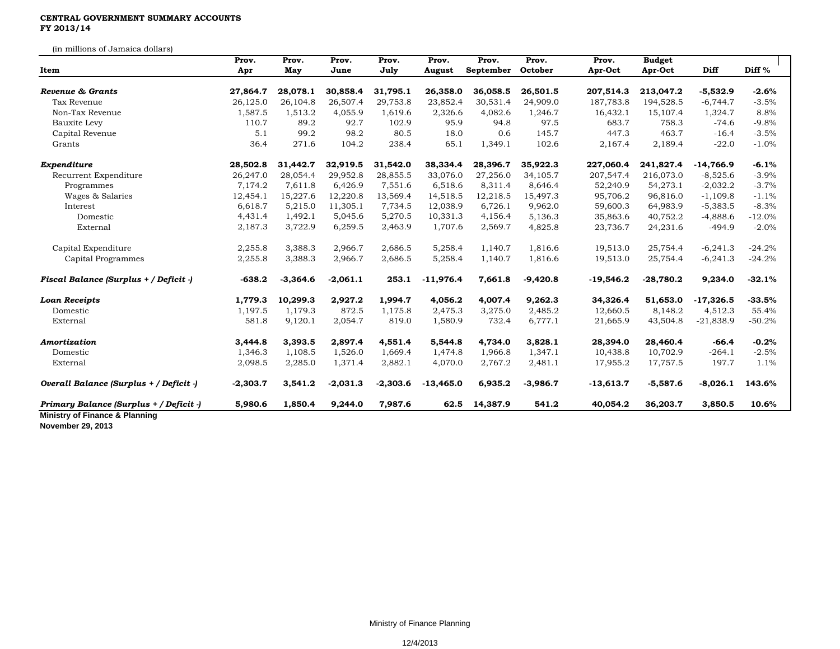## **CENTRAL GOVERNMENT SUMMARY ACCOUNTS FY 2013/14**

(in millions of Jamaica dollars)

|                                         | Prov.      | Prov.      | Prov.      | Prov.      | Prov.       | Prov.     | Prov.      | Prov.       | <b>Budget</b> |             |                   |
|-----------------------------------------|------------|------------|------------|------------|-------------|-----------|------------|-------------|---------------|-------------|-------------------|
| Item                                    | Apr        | May        | June       | July       | August      | September | October    | Apr-Oct     | Apr-Oct       | Diff        | Diff <sup>%</sup> |
| Revenue & Grants                        | 27,864.7   | 28,078.1   | 30,858.4   | 31,795.1   | 26,358.0    | 36,058.5  | 26,501.5   | 207,514.3   | 213,047.2     | $-5,532.9$  | $-2.6%$           |
| Tax Revenue                             | 26,125.0   | 26,104.8   | 26,507.4   | 29,753.8   | 23,852.4    | 30,531.4  | 24,909.0   | 187,783.8   | 194,528.5     | $-6,744.7$  | $-3.5%$           |
| Non-Tax Revenue                         | 1,587.5    | 1,513.2    | 4,055.9    | 1,619.6    | 2,326.6     | 4,082.6   | 1,246.7    | 16,432.1    | 15,107.4      | 1,324.7     | 8.8%              |
| Bauxite Levy                            | 110.7      | 89.2       | 92.7       | 102.9      | 95.9        | 94.8      | 97.5       | 683.7       | 758.3         | $-74.6$     | $-9.8%$           |
| Capital Revenue                         | 5.1        | 99.2       | 98.2       | 80.5       | 18.0        | 0.6       | 145.7      | 447.3       | 463.7         | $-16.4$     | $-3.5%$           |
| Grants                                  | 36.4       | 271.6      | 104.2      | 238.4      | 65.1        | 1,349.1   | 102.6      | 2,167.4     | 2,189.4       | $-22.0$     | $-1.0%$           |
| Expenditure                             | 28,502.8   | 31,442.7   | 32,919.5   | 31,542.0   | 38,334.4    | 28,396.7  | 35,922.3   | 227,060.4   | 241,827.4     | $-14,766.9$ | $-6.1%$           |
| Recurrent Expenditure                   | 26,247.0   | 28,054.4   | 29,952.8   | 28,855.5   | 33,076.0    | 27,256.0  | 34,105.7   | 207,547.4   | 216,073.0     | $-8,525.6$  | $-3.9%$           |
| Programmes                              | 7,174.2    | 7,611.8    | 6,426.9    | 7,551.6    | 6,518.6     | 8,311.4   | 8,646.4    | 52,240.9    | 54,273.1      | $-2,032.2$  | $-3.7%$           |
| Wages & Salaries                        | 12,454.1   | 15,227.6   | 12,220.8   | 13,569.4   | 14,518.5    | 12,218.5  | 15,497.3   | 95,706.2    | 96,816.0      | $-1,109.8$  | $-1.1%$           |
| Interest                                | 6,618.7    | 5,215.0    | 11,305.1   | 7,734.5    | 12,038.9    | 6,726.1   | 9,962.0    | 59,600.3    | 64,983.9      | $-5,383.5$  | $-8.3%$           |
| Domestic                                | 4,431.4    | 1,492.1    | 5,045.6    | 5,270.5    | 10,331.3    | 4,156.4   | 5,136.3    | 35,863.6    | 40,752.2      | $-4,888.6$  | $-12.0%$          |
| External                                | 2,187.3    | 3,722.9    | 6,259.5    | 2,463.9    | 1,707.6     | 2,569.7   | 4,825.8    | 23,736.7    | 24,231.6      | $-494.9$    | $-2.0%$           |
| Capital Expenditure                     | 2,255.8    | 3,388.3    | 2,966.7    | 2,686.5    | 5,258.4     | 1,140.7   | 1,816.6    | 19,513.0    | 25,754.4      | $-6,241.3$  | $-24.2%$          |
| Capital Programmes                      | 2,255.8    | 3,388.3    | 2,966.7    | 2,686.5    | 5,258.4     | 1,140.7   | 1,816.6    | 19,513.0    | 25,754.4      | $-6,241.3$  | $-24.2%$          |
| Fiscal Balance (Surplus + / Deficit -)  | $-638.2$   | $-3,364.6$ | $-2,061.1$ | 253.1      | $-11,976.4$ | 7,661.8   | $-9,420.8$ | $-19,546.2$ | $-28,780.2$   | 9,234.0     | $-32.1%$          |
| <b>Loan Receipts</b>                    | 1,779.3    | 10,299.3   | 2,927.2    | 1,994.7    | 4,056.2     | 4,007.4   | 9,262.3    | 34,326.4    | 51,653.0      | $-17,326.5$ | $-33.5%$          |
| Domestic                                | 1,197.5    | 1,179.3    | 872.5      | 1,175.8    | 2,475.3     | 3,275.0   | 2,485.2    | 12,660.5    | 8,148.2       | 4,512.3     | 55.4%             |
| External                                | 581.8      | 9,120.1    | 2,054.7    | 819.0      | 1,580.9     | 732.4     | 6,777.1    | 21,665.9    | 43,504.8      | $-21,838.9$ | $-50.2%$          |
| Amortization                            | 3,444.8    | 3,393.5    | 2,897.4    | 4,551.4    | 5,544.8     | 4,734.0   | 3,828.1    | 28,394.0    | 28,460.4      | $-66.4$     | $-0.2%$           |
| Domestic                                | 1,346.3    | 1,108.5    | 1,526.0    | 1,669.4    | 1,474.8     | 1,966.8   | 1,347.1    | 10,438.8    | 10,702.9      | $-264.1$    | $-2.5%$           |
| External                                | 2,098.5    | 2,285.0    | 1,371.4    | 2,882.1    | 4,070.0     | 2,767.2   | 2,481.1    | 17,955.2    | 17,757.5      | 197.7       | 1.1%              |
| Overall Balance (Surplus + / Deficit -) | $-2,303.7$ | 3,541.2    | $-2,031.3$ | $-2,303.6$ | $-13,465.0$ | 6,935.2   | $-3,986.7$ | $-13,613.7$ | $-5,587.6$    | $-8,026.1$  | 143.6%            |
| Primary Balance (Surplus + / Deficit -) | 5,980.6    | 1,850.4    | 9,244.0    | 7,987.6    | 62.5        | 14,387.9  | 541.2      | 40,054.2    | 36,203.7      | 3,850.5     | 10.6%             |

**November 29, 2013**